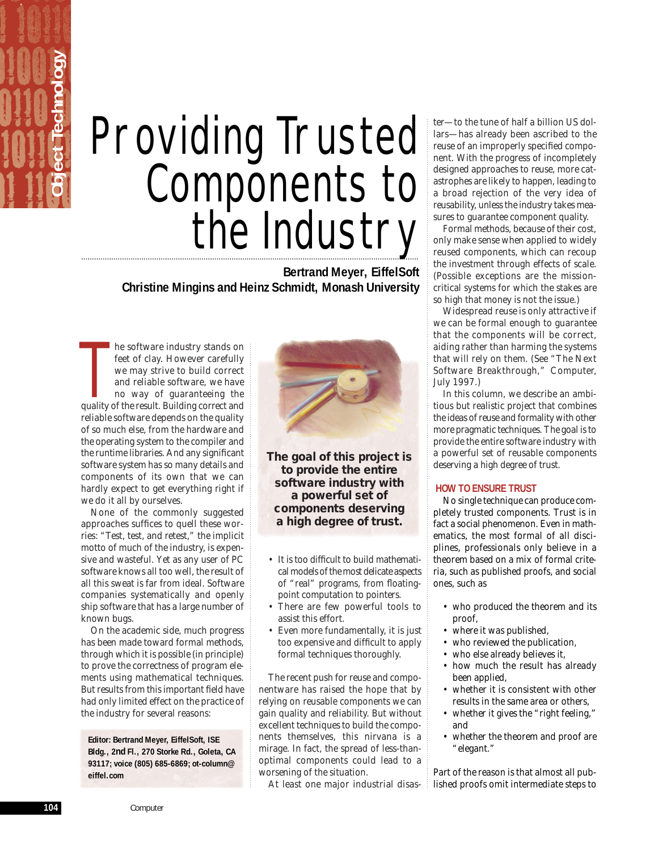## **Providing Trusted<br>Components to** the Industry

**Bertrand Meyer, EiffelSoft Christine Mingins and Heinz Schmidt, Monash University**

The software industry stands on feet of clay. However carefully we may strive to build correct and reliable software, we have no way of guaranteeing the quality of the result. Building correct and he software industry stands on feet of clay. However carefully we may strive to build correct and reliable software, we have no way of guaranteeing the reliable software depends on the quality of so much else, from the hardware and the operating system to the compiler and the runtime libraries. And any significant software system has so many details and components of its own that we can hardly expect to get everything right if we do it all by ourselves.

None of the commonly suggested approaches suffices to quell these worries: "Test, test, and retest," the implicit motto of much of the industry, is expensive and wasteful. Yet as any user of PC software knows all too well, the result of all this sweat is far from ideal. Software companies systematically and openly ship software that has a large number of known bugs.

On the academic side, much progress has been made toward formal methods, through which it is possible (in principle) to *prove* the correctness of program elements using mathematical techniques. But results from this important field have had only limited effect on the practice of the industry for several reasons:

**Editor: Bertrand Meyer, EiffelSoft, ISE Bldg., 2nd Fl., 270 Storke Rd., Goleta, CA 93117; voice (805) 685-6869; ot-column@ eiffel.com**



**The goal of this project is to provide the entire software industry with a powerful set of components deserving a high degree of trust.**

- It is too difficult to build mathematical models of the most delicate aspects of "real" programs, from floatingpoint computation to pointers.
- There are few powerful tools to assist this effort.
- Even more fundamentally, it is just too expensive and difficult to apply formal techniques thoroughly.

The recent push for reuse and componentware has raised the hope that by relying on reusable components we can gain quality and reliability. But without excellent techniques to build the components themselves, this nirvana is a mirage. In fact, the spread of less-thanoptimal components could lead to a *worsening* of the situation.

At least one major industrial disas-

ter—to the tune of half a billion US dollars—has already been ascribed to the reuse of an improperly specified component. With the progress of incompletely designed approaches to reuse, more catastrophes are likely to happen, leading to a broad rejection of the very idea of reusability, unless the industry takes measures to guarantee component quality.

Formal methods, because of their cost, only make sense when applied to widely reused components, which can recoup the investment through effects of scale. (Possible exceptions are the missioncritical systems for which the stakes are so high that money is not the issue.)

Widespread reuse is only attractive if we can be formal enough to guarantee that the components will be correct, aiding rather than harming the systems that will rely on them. (See "The Next Software Breakthrough," *Computer,* July 1997.)

In this column, we describe an ambitious but realistic project that combines the ideas of reuse and formality with other more pragmatic techniques. The goal is to provide the entire software industry with a powerful set of reusable components deserving a high degree of trust.

## **HOW TO ENSURE TRUST**

No single technique can produce completely trusted components. Trust is in fact a social phenomenon. Even in mathematics, the most formal of all disciplines, professionals only *believe* in a theorem based on a mix of formal criteria, such as published proofs, and social ones, such as

- who produced the theorem and its proof,
- where it was published,
- who reviewed the publication,
- who else already believes it,
- how much the result has already been applied,
- whether it is consistent with other results in the same area or others,
- whether it gives the "right feeling," and
- whether the theorem and proof are "elegant."

Part of the reason is that almost all published proofs omit intermediate steps to

**Object Technology**